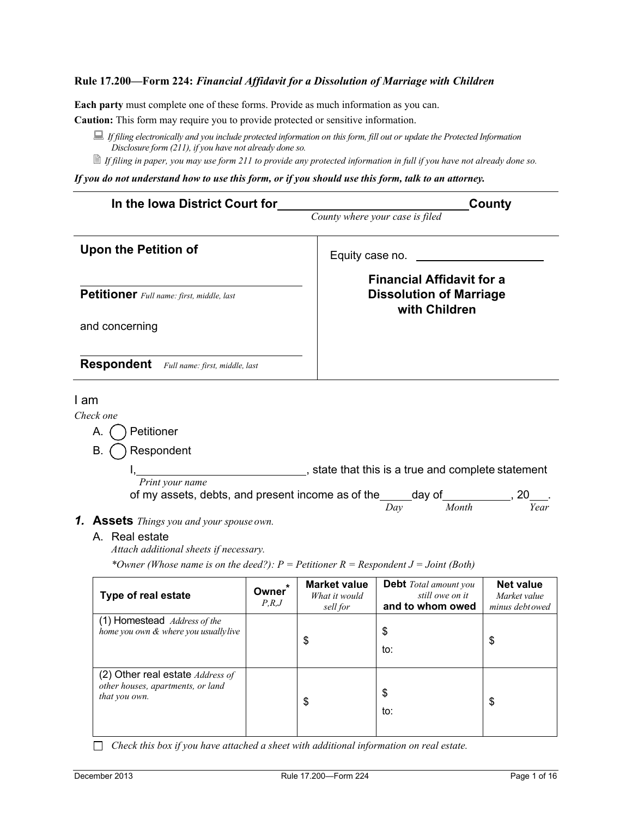**Each party** must complete one of these forms. Provide as much information as you can.

**Caution:** This form may require you to provide protected or sensitive information.

- *If filing electronically and you include protected information on this form, fill out or update the Protected Information Disclosure form (211), if you have not already done so.*
- *If filing in paper, you may use form 211 to provide any protected information in full if you have not already done so.*

*If you do not understand how to use this form, or if you should use this form, talk to an attorney.*

| In the Iowa District Court for            |                                                                                       |                       | County<br>County where your case is filed                                           |                                                                     |                                                     |
|-------------------------------------------|---------------------------------------------------------------------------------------|-----------------------|-------------------------------------------------------------------------------------|---------------------------------------------------------------------|-----------------------------------------------------|
|                                           | <b>Upon the Petition of</b>                                                           |                       | Equity case no.                                                                     |                                                                     |                                                     |
| Petitioner Full name: first, middle, last |                                                                                       |                       | <b>Financial Affidavit for a</b><br><b>Dissolution of Marriage</b><br>with Children |                                                                     |                                                     |
|                                           | and concerning                                                                        |                       |                                                                                     |                                                                     |                                                     |
|                                           | <b>Respondent</b><br>Full name: first, middle, last                                   |                       |                                                                                     |                                                                     |                                                     |
| I am                                      |                                                                                       |                       |                                                                                     |                                                                     |                                                     |
| Check one                                 |                                                                                       |                       |                                                                                     |                                                                     |                                                     |
| Α.                                        | Petitioner                                                                            |                       |                                                                                     |                                                                     |                                                     |
| В.                                        | Respondent                                                                            |                       |                                                                                     |                                                                     |                                                     |
|                                           |                                                                                       |                       |                                                                                     | , state that this is a true and complete statement                  |                                                     |
|                                           | Print your name                                                                       |                       |                                                                                     |                                                                     |                                                     |
|                                           | of my assets, debts, and present income as of the _____ day of ____________, 20       |                       |                                                                                     |                                                                     |                                                     |
|                                           |                                                                                       |                       |                                                                                     | Month<br>Day                                                        | Year                                                |
|                                           | <b>1. Assets</b> Things you and your spouse own.                                      |                       |                                                                                     |                                                                     |                                                     |
|                                           | A. Real estate<br>Attach additional sheets if necessary.                              |                       |                                                                                     |                                                                     |                                                     |
|                                           | *Owner (Whose name is on the deed?): $P =$ Petitioner R = Respondent J = Joint (Both) |                       |                                                                                     |                                                                     |                                                     |
|                                           | Type of real estate                                                                   | <b>Owner</b><br>P.R.J | <b>Market value</b><br>What it would<br>sell for                                    | <b>Debt</b> Total amount you<br>still owe on it<br>and to whom owed | <b>Net value</b><br>Market value<br>minus debt owed |
|                                           | (1) Homestead Address of the<br>home you own & where you usually live                 |                       | \$                                                                                  | \$<br>to:                                                           | \$                                                  |

(2) Other real estate *Address of* 

\$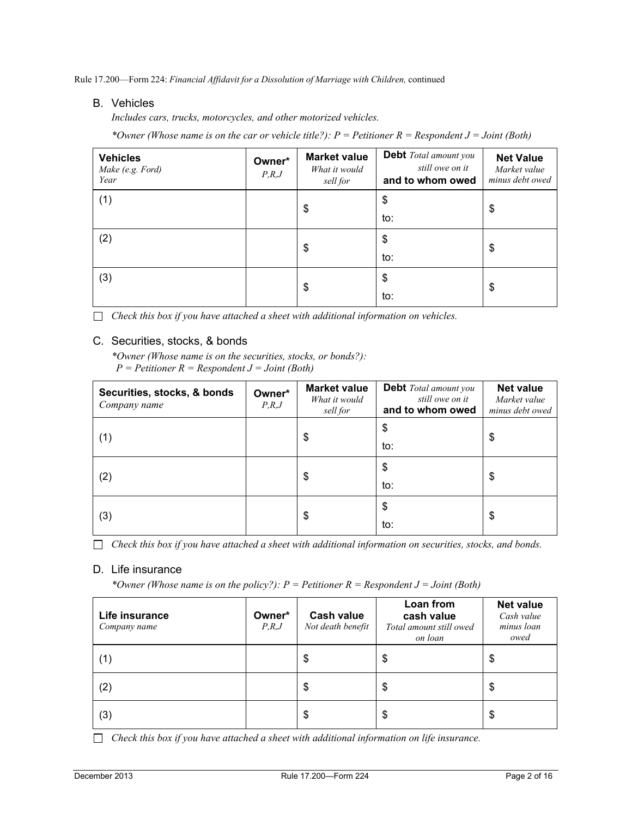### B. Vehicles

*Includes cars, trucks, motorcycles, and other motorized vehicles.*

*\*Owner (Whose name is on the car or vehicle title?): P = Petitioner R = Respondent J = Joint (Both)*

| <b>Vehicles</b><br>Make (e.g. Ford)<br>Year | Owner*<br>P,R,J | <b>Market value</b><br>What it would<br>sell for | <b>Debt</b> Total amount you<br>still owe on it<br>and to whom owed | <b>Net Value</b><br>Market value<br>minus debt owed |
|---------------------------------------------|-----------------|--------------------------------------------------|---------------------------------------------------------------------|-----------------------------------------------------|
| (1)                                         |                 | \$                                               | \$                                                                  | \$                                                  |
|                                             |                 |                                                  | to:                                                                 |                                                     |
| (2)                                         |                 | \$                                               | \$                                                                  | \$                                                  |
|                                             |                 |                                                  | to:                                                                 |                                                     |
| (3)                                         |                 | \$                                               | \$                                                                  | \$                                                  |
|                                             |                 |                                                  | to:                                                                 |                                                     |

*Check this box if you have attached a sheet with additional information on vehicles.*

### C. Securities, stocks, & bonds

*\*Owner (Whose name is on the securities, stocks, or bonds?): P = Petitioner R = Respondent J = Joint (Both)*

| Securities, stocks, & bonds<br>Company name | Owner*<br>P,R,J | <b>Market value</b><br>What it would<br>sell for | <b>Debt</b> Total amount you<br>still owe on it<br>and to whom owed | <b>Net value</b><br>Market value<br>minus debt owed |
|---------------------------------------------|-----------------|--------------------------------------------------|---------------------------------------------------------------------|-----------------------------------------------------|
| (1)                                         |                 | \$                                               | \$                                                                  | \$                                                  |
|                                             |                 |                                                  | to:                                                                 |                                                     |
| (2)                                         |                 | \$                                               | \$                                                                  | \$                                                  |
|                                             |                 |                                                  | to:                                                                 |                                                     |
|                                             |                 | \$                                               | \$                                                                  | \$                                                  |
| (3)                                         |                 |                                                  | to:                                                                 |                                                     |

*Check this box if you have attached a sheet with additional information on securities, stocks, and bonds.*

# D. Life insurance

*\*Owner (Whose name is on the policy?): P = Petitioner R = Respondent J = Joint (Both)*

| Life insurance<br>Company name | Owner*<br>P,R,J | <b>Cash value</b><br>Not death benefit | Loan from<br>cash value<br>Total amount still owed<br>on loan | <b>Net value</b><br>Cash value<br>minus loan<br>owed |
|--------------------------------|-----------------|----------------------------------------|---------------------------------------------------------------|------------------------------------------------------|
| (1)                            |                 | \$                                     | \$                                                            | \$                                                   |
| (2)                            |                 | \$                                     | \$                                                            | \$                                                   |
| (3)                            |                 | \$                                     | \$                                                            | \$                                                   |

*Check this box if you have attached a sheet with additional information on life insurance.*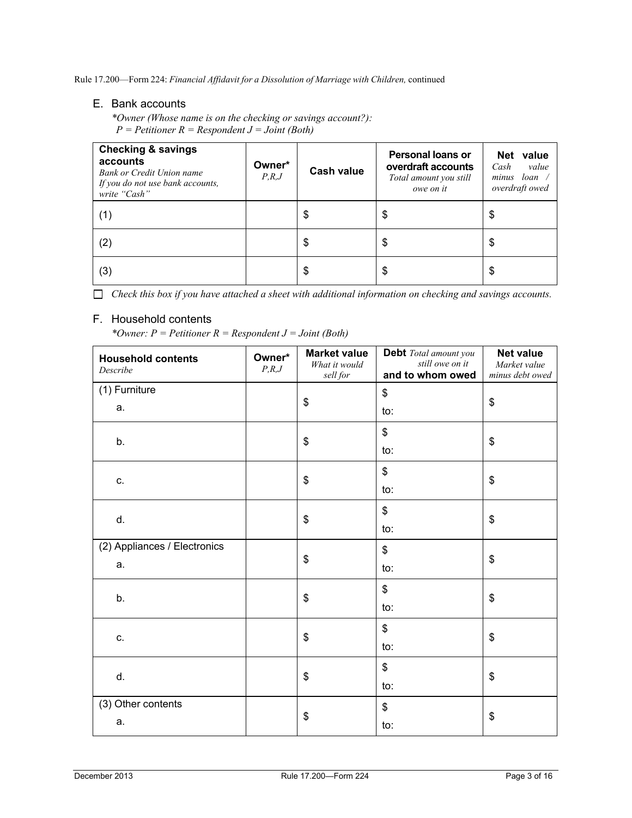# E. Bank accounts

*\*Owner (Whose name is on the checking or savings account?): P = Petitioner R = Respondent J = Joint (Both)*

| <b>Checking &amp; savings</b><br>accounts<br>Bank or Credit Union name<br>If you do not use bank accounts,<br>write "Cash" | Owner*<br>P,R,J | Cash value | Personal loans or<br>overdraft accounts<br>Total amount you still<br>owe on it | value<br>Net<br>Cash<br>value<br>loan<br>minus<br>overdraft owed |
|----------------------------------------------------------------------------------------------------------------------------|-----------------|------------|--------------------------------------------------------------------------------|------------------------------------------------------------------|
| (1)                                                                                                                        |                 | \$         | \$                                                                             | \$                                                               |
| (2)                                                                                                                        |                 | \$         | \$                                                                             | \$                                                               |
| (3)                                                                                                                        |                 | \$         | \$                                                                             | \$                                                               |

*Check this box if you have attached a sheet with additional information on checking and savings accounts.*

# F. Household contents

*\*Owner: P = Petitioner R = Respondent J = Joint (Both)*

| <b>Household contents</b><br>Describe | Owner*<br>P,R,J | <b>Market value</b><br>What it would<br>sell for | Debt Total amount you<br>still owe on it<br>and to whom owed | <b>Net value</b><br>Market value<br>minus debt owed |  |
|---------------------------------------|-----------------|--------------------------------------------------|--------------------------------------------------------------|-----------------------------------------------------|--|
| (1) Furniture                         |                 |                                                  | \$                                                           |                                                     |  |
| a.                                    |                 | \$                                               | to:                                                          | \$                                                  |  |
| b.                                    |                 | \$                                               | \$                                                           | \$                                                  |  |
|                                       |                 |                                                  | to:                                                          |                                                     |  |
| c.                                    |                 | \$                                               | \$                                                           | \$                                                  |  |
|                                       |                 |                                                  | to:                                                          |                                                     |  |
| d.                                    |                 | \$                                               | \$                                                           | \$                                                  |  |
|                                       |                 |                                                  | to:                                                          |                                                     |  |
| (2) Appliances / Electronics          |                 | \$                                               | \$                                                           | \$                                                  |  |
| a.                                    |                 |                                                  | to:                                                          |                                                     |  |
| b.                                    |                 | \$                                               | \$                                                           | \$                                                  |  |
|                                       |                 |                                                  | to:                                                          |                                                     |  |
| c.                                    |                 | \$                                               | \$                                                           | \$                                                  |  |
|                                       |                 |                                                  | to:                                                          |                                                     |  |
| d.                                    |                 | \$                                               | \$                                                           | \$                                                  |  |
|                                       |                 |                                                  | to:                                                          |                                                     |  |
| (3) Other contents                    |                 |                                                  | \$                                                           |                                                     |  |
| a.                                    |                 | \$                                               | to:                                                          | \$                                                  |  |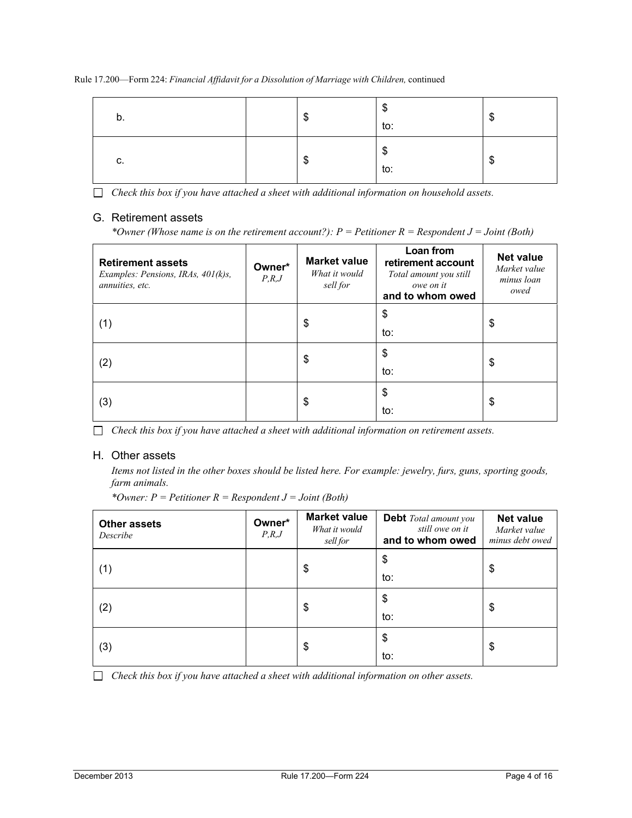| D. | æ<br> | ጦ<br>ง<br>to: | ന<br>۰D |
|----|-------|---------------|---------|
| c. | m     | ¢<br>D<br>to: | œ<br>۰D |

*Check this box if you have attached a sheet with additional information on household assets.*

# G. Retirement assets

*\*Owner (Whose name is on the retirement account?): P = Petitioner R = Respondent J = Joint (Both)*

| <b>Retirement assets</b><br>Examples: Pensions, IRAs, 401(k)s,<br>annuities, etc. | Owner*<br>P,R,J | <b>Market value</b><br>What it would<br>sell for | Loan from<br>retirement account<br>Total amount you still<br>owe on it<br>and to whom owed | <b>Net value</b><br>Market value<br>minus loan<br>owed |
|-----------------------------------------------------------------------------------|-----------------|--------------------------------------------------|--------------------------------------------------------------------------------------------|--------------------------------------------------------|
| (1)                                                                               |                 | \$                                               | \$<br>to:                                                                                  | \$                                                     |
| (2)                                                                               |                 | \$                                               | \$<br>to:                                                                                  | \$                                                     |
| (3)                                                                               |                 | \$                                               | \$<br>to:                                                                                  | \$                                                     |

*Check this box if you have attached a sheet with additional information on retirement assets.*

# H. Other assets

*Items not listed in the other boxes should be listed here. For example: jewelry, furs, guns, sporting goods, farm animals.*

*\*Owner: P = Petitioner R = Respondent J = Joint (Both)*

| <b>Other assets</b><br>Describe | Owner*<br>P,R,J | <b>Market value</b><br>What it would<br>sell for | <b>Debt</b> Total amount you<br>still owe on it<br>and to whom owed | <b>Net value</b><br>Market value<br>minus debt owed |  |
|---------------------------------|-----------------|--------------------------------------------------|---------------------------------------------------------------------|-----------------------------------------------------|--|
| (1)                             |                 | \$                                               | \$                                                                  | \$                                                  |  |
|                                 |                 |                                                  | to:                                                                 |                                                     |  |
| (2)                             |                 | \$                                               | $\frac{1}{2}$                                                       | \$                                                  |  |
|                                 |                 |                                                  | to:                                                                 |                                                     |  |
|                                 |                 | \$                                               | \$                                                                  | \$                                                  |  |
| (3)                             |                 |                                                  | to:                                                                 |                                                     |  |

*Check this box if you have attached a sheet with additional information on other assets.*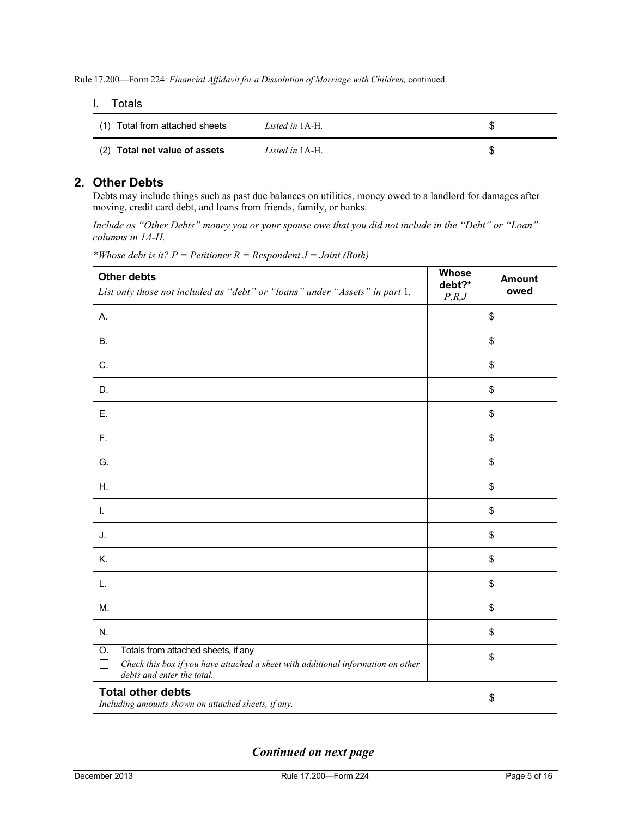#### I. Totals

| Total from attached sheets<br>(1) | Listed in 1A-H. | Œ |
|-----------------------------------|-----------------|---|
| (2) Total net value of assets     | Listed in 1A-H. | Œ |

# **2. Other Debts**

Debts may include things such as past due balances on utilities, money owed to a landlord for damages after moving, credit card debt, and loans from friends, family, or banks.

*Include as "Other Debts" money you or your spouse owe that you did not include in the "Debt" or "Loan" columns in 1A-H.*

| <b>Other debts</b><br>List only those not included as "debt" or "loans" under "Assets" in part 1.                                                                     | Whose<br>debt?*<br>P,R,J | <b>Amount</b><br>owed |
|-----------------------------------------------------------------------------------------------------------------------------------------------------------------------|--------------------------|-----------------------|
| А.                                                                                                                                                                    |                          | \$                    |
| <b>B.</b>                                                                                                                                                             |                          | \$                    |
| C.                                                                                                                                                                    |                          | \$                    |
| D.                                                                                                                                                                    |                          | \$                    |
| Ε.                                                                                                                                                                    |                          | \$                    |
| F.                                                                                                                                                                    |                          | \$                    |
| G.                                                                                                                                                                    |                          | \$                    |
| Η.                                                                                                                                                                    |                          | \$                    |
| Τ.                                                                                                                                                                    |                          | \$                    |
| J.                                                                                                                                                                    |                          | \$                    |
| K.                                                                                                                                                                    |                          | \$                    |
| L.                                                                                                                                                                    |                          | \$                    |
| M.                                                                                                                                                                    |                          | \$                    |
| N.                                                                                                                                                                    |                          | \$                    |
| Totals from attached sheets, if any<br>O.<br>Check this box if you have attached a sheet with additional information on other<br>$\Box$<br>debts and enter the total. |                          | \$                    |
| <b>Total other debts</b><br>Including amounts shown on attached sheets, if any.                                                                                       |                          | \$                    |

*\*Whose debt is it? P = Petitioner R = Respondent J = Joint (Both)*

*Continued on next page*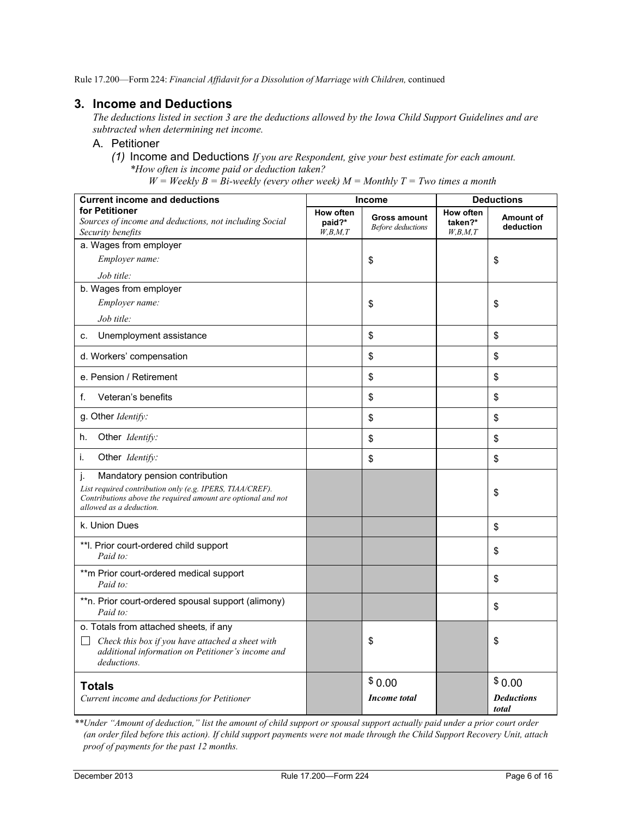# **3. Income and Deductions**

*The deductions listed in section 3 are the deductions allowed by the Iowa Child Support Guidelines and are subtracted when determining net income.*

### A. Petitioner

*(1)* Income and Deductions *If you are Respondent, give your best estimate for each amount. \*How often is income paid or deduction taken?*

 $W = \text{Weakly } B = \text{Bi-weekly (every other week)}$  *M* = *Monthly T* = *Two times a month* 

| <b>Current income and deductions</b>                                                                                                                                                        |                                          | <b>Income</b>                                   | <b>Deductions</b>                      |                                      |
|---------------------------------------------------------------------------------------------------------------------------------------------------------------------------------------------|------------------------------------------|-------------------------------------------------|----------------------------------------|--------------------------------------|
| for Petitioner<br>Sources of income and deductions, not including Social<br>Security benefits                                                                                               | <b>How often</b><br>paid?*<br>W, B, M, T | <b>Gross amount</b><br><b>Before</b> deductions | <b>How often</b><br>taken?*<br>W,B,M,T | Amount of<br>deduction               |
| a. Wages from employer                                                                                                                                                                      |                                          |                                                 |                                        |                                      |
| Employer name:                                                                                                                                                                              |                                          | \$                                              |                                        | \$                                   |
| Job title:                                                                                                                                                                                  |                                          |                                                 |                                        |                                      |
| b. Wages from employer                                                                                                                                                                      |                                          |                                                 |                                        |                                      |
| Employer name:                                                                                                                                                                              |                                          | \$                                              |                                        | \$                                   |
| Job title:                                                                                                                                                                                  |                                          |                                                 |                                        |                                      |
| Unemployment assistance<br>C.                                                                                                                                                               |                                          | \$                                              |                                        | \$                                   |
| d. Workers' compensation                                                                                                                                                                    |                                          | \$                                              |                                        | \$                                   |
| e. Pension / Retirement                                                                                                                                                                     |                                          | \$                                              |                                        | \$                                   |
| f.<br>Veteran's benefits                                                                                                                                                                    |                                          | \$                                              |                                        | \$                                   |
| g. Other Identify:                                                                                                                                                                          |                                          | \$                                              |                                        | \$                                   |
| Other Identify:<br>h.                                                                                                                                                                       |                                          | \$                                              |                                        | \$                                   |
| i.<br>Other Identify:                                                                                                                                                                       |                                          | \$                                              |                                        | \$                                   |
| j.<br>Mandatory pension contribution<br>List required contribution only (e.g. IPERS, TIAA/CREF).<br>Contributions above the required amount are optional and not<br>allowed as a deduction. |                                          |                                                 |                                        | \$                                   |
| k. Union Dues                                                                                                                                                                               |                                          |                                                 |                                        | \$                                   |
| **I. Prior court-ordered child support<br>Paid to:                                                                                                                                          |                                          |                                                 |                                        | \$                                   |
| ** m Prior court-ordered medical support<br>Paid to:                                                                                                                                        |                                          |                                                 |                                        | \$                                   |
| **n. Prior court-ordered spousal support (alimony)<br>Paid to:                                                                                                                              |                                          |                                                 |                                        | \$                                   |
| o. Totals from attached sheets, if any<br>$\Box$<br>Check this box if you have attached a sheet with<br>additional information on Petitioner's income and<br>deductions.                    |                                          | \$                                              |                                        | \$                                   |
| <b>Totals</b><br>Current income and deductions for Petitioner                                                                                                                               |                                          | \$0.00<br><b>Income</b> total                   |                                        | \$0.00<br><b>Deductions</b><br>total |

*\*\*Under "Amount of deduction," list the amount of child support or spousal support actually paid under a prior court order (an order filed before this action). If child support payments were not made through the Child Support Recovery Unit, attach proof of payments for the past 12 months.*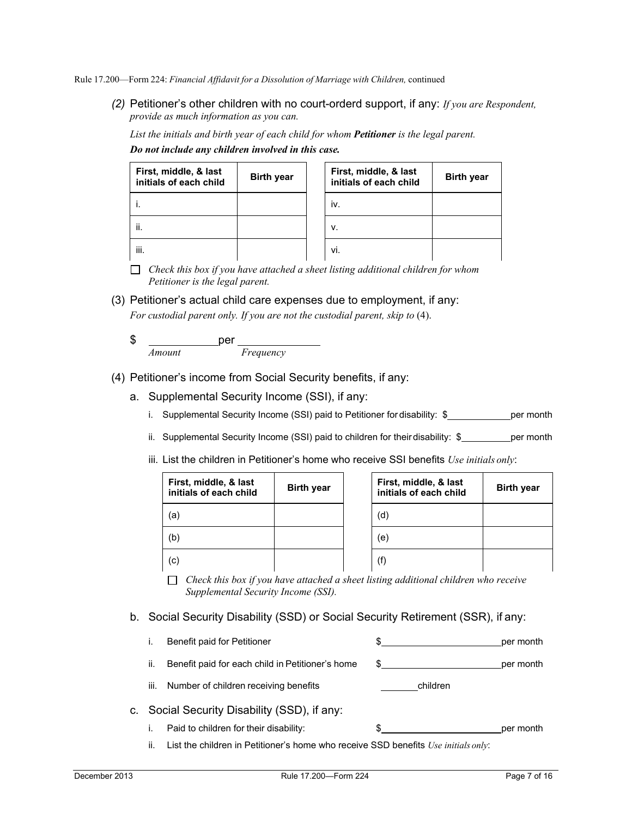*(2)* Petitioner's other children with no court-orderd support, if any: *If you are Respondent, provide as much information as you can.*

*List the initials and birth year of each child for whom Petitioner is the legal parent. Do not include any children involved in this case.*

| First, middle, & last<br>initials of each child | <b>Birth year</b> | First, middle, & last<br>initials of each child | <b>Birth year</b> |
|-------------------------------------------------|-------------------|-------------------------------------------------|-------------------|
|                                                 |                   | iv.                                             |                   |
| ii.                                             |                   | v.                                              |                   |
| iii.                                            |                   | vi.                                             |                   |

*Check this box if you have attached a sheet listing additional children for whom Petitioner is the legal parent.*

(3) Petitioner's actual child care expenses due to employment, if any:

For custodial parent only. If you are not the custodial parent, skip to (4).

| \$     |           |  |
|--------|-----------|--|
| Amount | Frequency |  |

- (4) Petitioner's income from Social Security benefits, if any:
	- a. Supplemental Security Income (SSI), if any:
		- i. Supplemental Security Income (SSI) paid to Petitioner for disability:  $\frac{1}{2}$  per month
		- ii. Supplemental Security Income (SSI) paid to children for their disability:  $\frac{1}{2}$  per month
		- iii. List the children in Petitioner's home who receive SSI benefits *Use initials only*:

| First, middle, & last<br>initials of each child | <b>Birth year</b> | First, middle, & last<br>initials of each child | <b>Birth year</b> |
|-------------------------------------------------|-------------------|-------------------------------------------------|-------------------|
| (a,                                             |                   | (d)                                             |                   |
| (b)                                             |                   | (e)                                             |                   |
| (c)                                             |                   | (f)                                             |                   |

*Check this box if you have attached a sheet listing additional children who receive Supplemental Security Income (SSI).*

b. Social Security Disability (SSD) or Social Security Retirement (SSR), if any:

|      | Benefit paid for Petitioner                                                         |          | per month |
|------|-------------------------------------------------------------------------------------|----------|-----------|
| ii.  | Benefit paid for each child in Petitioner's home                                    | \$.      | per month |
| iii. | Number of children receiving benefits                                               | children |           |
|      | c. Social Security Disability (SSD), if any:                                        |          |           |
|      | Paid to children for their disability:                                              |          | per month |
| ш    | List the children in Petitioner's home who receive SSD benefits $Use initial only:$ |          |           |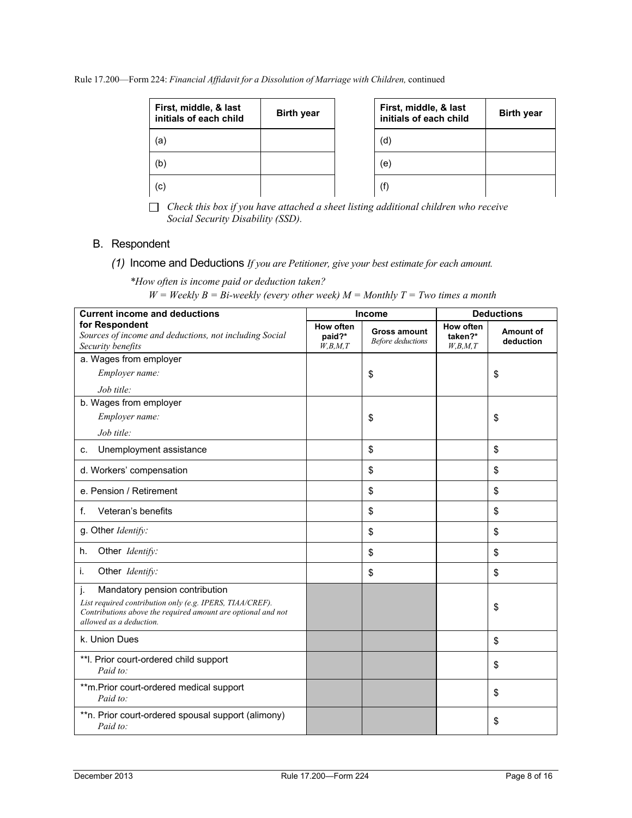Rule 17.200—Form 224: *Financial Affidavit for a Dissolution of Marriage with Children,* continued

| First, middle, & last<br>initials of each child | <b>Birth year</b> |
|-------------------------------------------------|-------------------|
| (a)                                             |                   |
| (b)                                             |                   |
| (c)                                             |                   |

| First, middle, & last<br>initials of each child | <b>Birth year</b> |
|-------------------------------------------------|-------------------|
| (d                                              |                   |
| (e)                                             |                   |
|                                                 |                   |

*Check this box if you have attached a sheet listing additional children who receive Social Security Disability (SSD).*

# B. Respondent

*(1)* Income and Deductions *If you are Petitioner, give your best estimate for each amount.*

*\*How often is income paid or deduction taken?*

 $W = \text{Weakly } B = B$ *i*-weekly (every other week)  $M = \text{Monthly } T = \text{Two times a month}$ 

| <b>Current income and deductions</b>                                                                                                                             |                                       | Income                                          | <b>Deductions</b>               |                        |
|------------------------------------------------------------------------------------------------------------------------------------------------------------------|---------------------------------------|-------------------------------------------------|---------------------------------|------------------------|
| for Respondent<br>Sources of income and deductions, not including Social<br>Security benefits                                                                    | <b>How often</b><br>paid?*<br>W,B,M,T | <b>Gross amount</b><br><b>Before</b> deductions | How often<br>taken?*<br>W,B,M,T | Amount of<br>deduction |
| a. Wages from employer                                                                                                                                           |                                       |                                                 |                                 |                        |
| Employer name:                                                                                                                                                   |                                       | \$                                              |                                 | \$                     |
| Job title:                                                                                                                                                       |                                       |                                                 |                                 |                        |
| b. Wages from employer                                                                                                                                           |                                       |                                                 |                                 |                        |
| Employer name:                                                                                                                                                   |                                       | \$                                              |                                 | \$                     |
| Job title:                                                                                                                                                       |                                       |                                                 |                                 |                        |
| Unemployment assistance<br>C.                                                                                                                                    |                                       | \$                                              |                                 | \$                     |
| d. Workers' compensation                                                                                                                                         |                                       | \$                                              |                                 | \$                     |
| e. Pension / Retirement                                                                                                                                          |                                       | \$                                              |                                 | \$                     |
| Veteran's benefits<br>f.                                                                                                                                         |                                       | \$                                              |                                 | \$                     |
| g. Other Identify:                                                                                                                                               |                                       | \$                                              |                                 | \$                     |
| Other Identify:<br>h.                                                                                                                                            |                                       | \$                                              |                                 | \$                     |
| i.<br>Other Identify:                                                                                                                                            |                                       | \$                                              |                                 | \$                     |
| j.<br>Mandatory pension contribution<br>List required contribution only (e.g. IPERS, TIAA/CREF).<br>Contributions above the required amount are optional and not |                                       |                                                 |                                 | \$                     |
| allowed as a deduction.                                                                                                                                          |                                       |                                                 |                                 |                        |
| k. Union Dues                                                                                                                                                    |                                       |                                                 |                                 | \$                     |
| **I. Prior court-ordered child support<br>Paid to:                                                                                                               |                                       |                                                 |                                 | \$                     |
| **m.Prior court-ordered medical support<br>Paid to:                                                                                                              |                                       |                                                 |                                 | \$                     |
| **n. Prior court-ordered spousal support (alimony)<br>Paid to:                                                                                                   |                                       |                                                 |                                 | \$                     |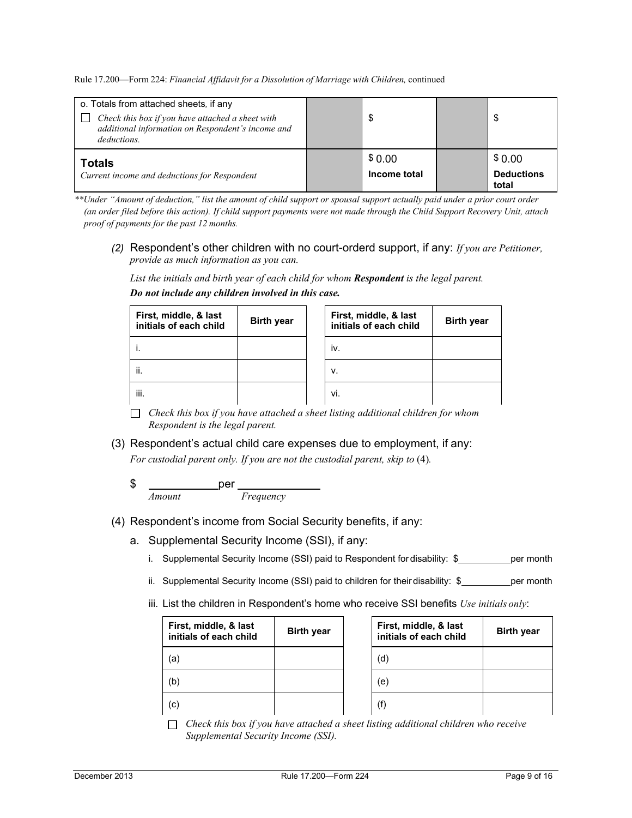| o. Totals from attached sheets, if any<br>Check this box if you have attached a sheet with<br>additional information on Respondent's income and<br>deductions. | Œ                      | S                                    |
|----------------------------------------------------------------------------------------------------------------------------------------------------------------|------------------------|--------------------------------------|
| <b>Totals</b><br>Current income and deductions for Respondent                                                                                                  | \$0.00<br>Income total | \$0.00<br><b>Deductions</b><br>total |

*\*\*Under "Amount of deduction," list the amount of child support or spousal support actually paid under a prior court order (an order filed before this action). If child support payments were not made through the Child Support Recovery Unit, attach proof of payments for the past 12 months.*

*(2)* Respondent's other children with no court-orderd support, if any: *If you are Petitioner, provide as much information as you can.*

*List the initials and birth year of each child for whom Respondent is the legal parent.*

| First, middle, & last<br>initials of each child | <b>Birth year</b> | First, middle, & last<br>initials of each child | <b>Birth year</b> |
|-------------------------------------------------|-------------------|-------------------------------------------------|-------------------|
|                                                 |                   | iv.                                             |                   |
| ji.                                             |                   | V.                                              |                   |
| iii.                                            |                   | Vİ.                                             |                   |

*Do not include any children involved in this case.*

*Check this box if you have attached a sheet listing additional children for whom Respondent is the legal parent.*

#### (3) Respondent's actual child care expenses due to employment, if any:

*For custodial parent only. If you are not the custodial parent, skip to (4).* 

\$ \_\_\_\_\_\_\_\_\_\_\_\_\_\_per *Amount Frequency*

# (4) Respondent's income from Social Security benefits, if any:

- a. Supplemental Security Income (SSI), if any:
	- i. Supplemental Security Income (SSI) paid to Respondent for disability: \$ per month
	- ii. Supplemental Security Income (SSI) paid to children for their disability:  $\oint$  per month
	- iii. List the children in Respondent's home who receive SSI benefits *Use initials only*:

| First, middle, & last<br>initials of each child | <b>Birth year</b> | First, middle, & last<br>initials of each child | <b>Birth year</b> |
|-------------------------------------------------|-------------------|-------------------------------------------------|-------------------|
| a)                                              |                   | (d)                                             |                   |
| (b)                                             |                   | (e)                                             |                   |
| (c)                                             |                   | (f)                                             |                   |

*Check this box if you have attached a sheet listing additional children who receive Supplemental Security Income (SSI).*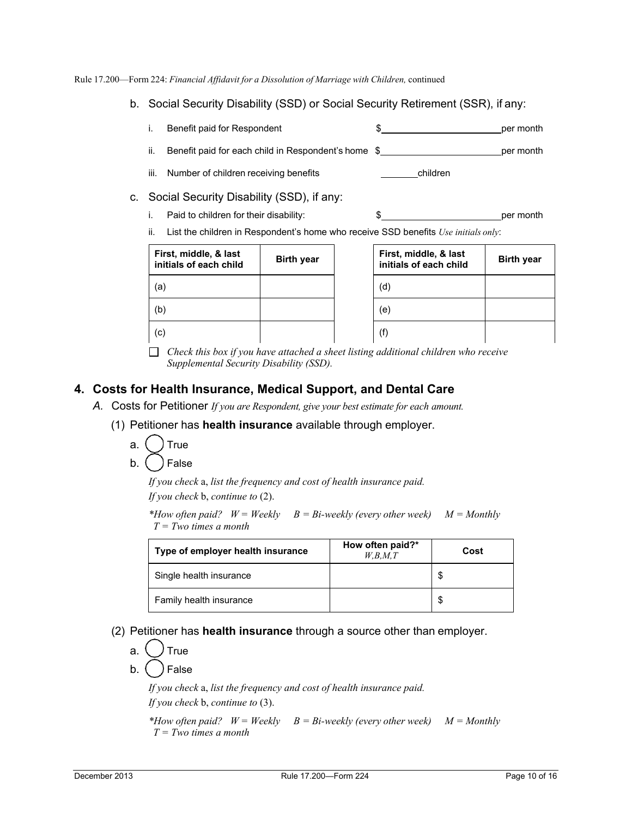- b. Social Security Disability (SSD) or Social Security Retirement (SSR), if any:
	- i. Benefit paid for Respondent  $\qquad \qquad$  \$ per month
	- ii. Benefit paid for each child in Respondent's home  $\frac{1}{2}$  per month
	- iii. Number of children receiving benefits **children** children
- c. Social Security Disability (SSD), if any:
	- i. Paid to children for their disability:  $\frac{1}{2}$   $\frac{1}{2}$   $\frac{1}{2}$  per month

ii. List the children in Respondent's home who receive SSD benefits *Use initials only*:

| First, middle, & last<br>initials of each child | <b>Birth year</b> |
|-------------------------------------------------|-------------------|
| (a)                                             |                   |
| b                                               |                   |
|                                                 |                   |

| First, middle, & last<br>initials of each child | <b>Birth year</b> |
|-------------------------------------------------|-------------------|
| (d)                                             |                   |
| (e)                                             |                   |
| (f)                                             |                   |

*Check this box if you have attached a sheet listing additional children who receive Supplemental Security Disability (SSD).*

# **4. Costs for Health Insurance, Medical Support, and Dental Care**

- *A.* Costs for Petitioner *If you are Respondent, give your best estimate for each amount.*
	- (1) Petitioner has **health insurance** available through employer.
		- a. ( ) True
		- b. ( ) False

*If you check* a, *list the frequency and cost of health insurance paid. If you check* b, *continue to* (2).

*\*How often paid? W = Weekly B = Bi-weekly (every other week) M = Monthly T = Two times a month*

| Type of employer health insurance | How often paid?*<br>W,B,M,T | Cost |
|-----------------------------------|-----------------------------|------|
| Single health insurance           |                             |      |
| Family health insurance           |                             |      |

(2) Petitioner has **health insurance** through a source other than employer.

a. ( *)* True

b. ( ) False

*If you check* a, *list the frequency and cost of health insurance paid.* 

*If you check* b, *continue to* (3).

*\*How often paid? W = Weekly B = Bi-weekly (every other week) M = Monthly T = Two times a month*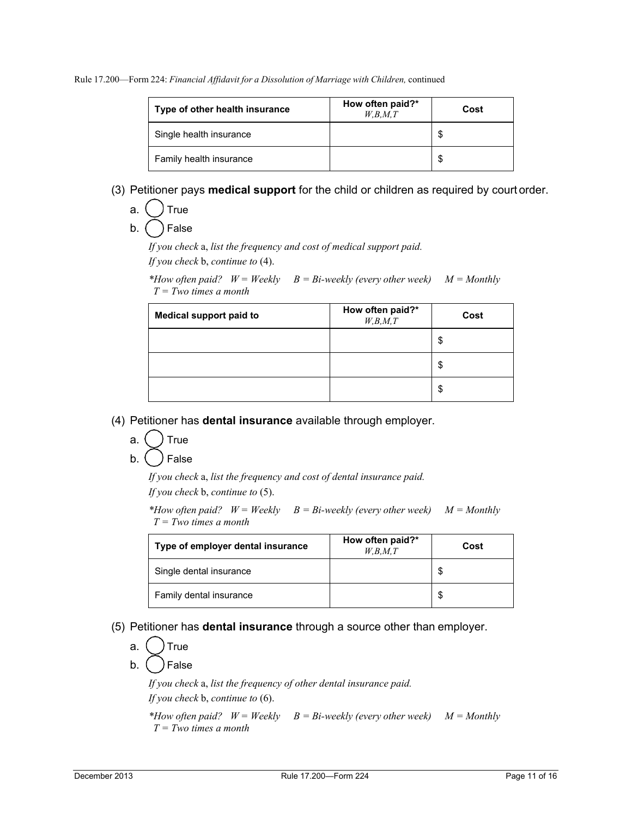| Type of other health insurance | How often paid?*<br>W,B,M,T | Cost |
|--------------------------------|-----------------------------|------|
| Single health insurance        |                             |      |
| Family health insurance        |                             |      |

# (3) Petitioner pays **medical support** for the child or children as required by court order.

a.  $($   $)$  True

b. ( ) False

*If you check* a, *list the frequency and cost of medical support paid. If you check* b, *continue to* (4).

*\*How often paid? W = Weekly B = Bi-weekly (every other week) M = Monthly T = Two times a month*

| <b>Medical support paid to</b> | How often paid?*<br>W, B, M, T | Cost |
|--------------------------------|--------------------------------|------|
|                                |                                | \$   |
|                                |                                | \$   |
|                                |                                | \$   |

(4) Petitioner has **dental insurance** available through employer.

- a.  $($  ) True
- $b.$  ( ) False

*If you check* a, *list the frequency and cost of dental insurance paid.* 

*If you check* b, *continue to* (5).

*\*How often paid? W = Weekly B = Bi-weekly (every other week) M = Monthly T = Two times a month*

| Type of employer dental insurance | How often paid?*<br>W,B,M,T | Cost |
|-----------------------------------|-----------------------------|------|
| Single dental insurance           |                             | S    |
| Family dental insurance           |                             |      |

# (5) Petitioner has **dental insurance** through a source other than employer.

a. ( ) True

b. ( ) False

*If you check* a, *list the frequency of other dental insurance paid.* 

*If you check* b, *continue to* (6).

*\*How often paid? W = Weekly B = Bi-weekly (every other week) M = Monthly T = Two times a month*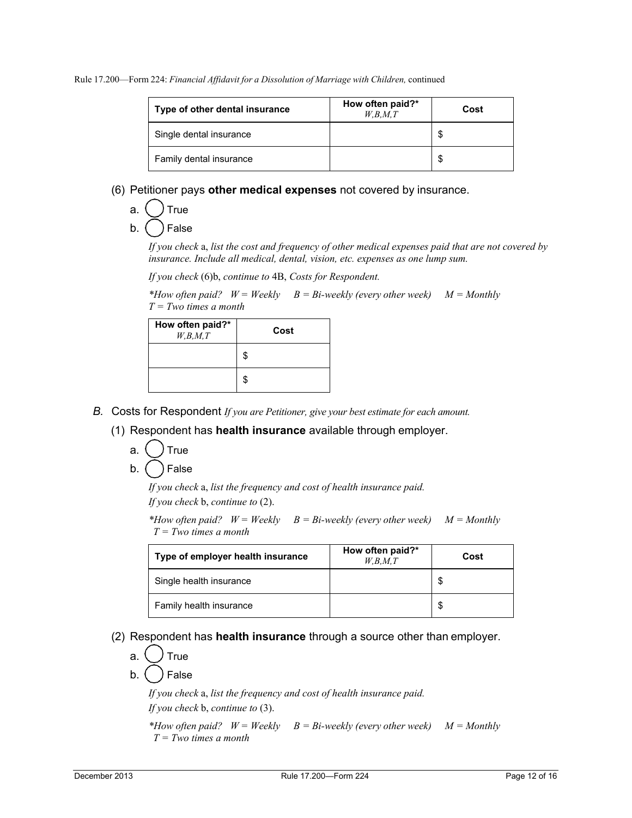| Type of other dental insurance | How often paid?*<br>W,B,M,T | Cost |
|--------------------------------|-----------------------------|------|
| Single dental insurance        |                             |      |
| Family dental insurance        |                             |      |

- (6) Petitioner pays **other medical expenses** not covered by insurance.
	- a.  $($   $)$  True
	- b. ( ) False

*If you check* a, *list the cost and frequency of other medical expenses paid that are not covered by insurance. Include all medical, dental, vision, etc. expenses as one lump sum.*

*If you check* (6)b, *continue to* 4B, *Costs for Respondent.*

*\*How often paid? W = Weekly B = Bi-weekly (every other week) M = Monthly T = Two times a month*

| How often paid?*<br>W, B, M, T | Cost |
|--------------------------------|------|
|                                | \$   |
|                                | \$   |

- *B.* Costs for Respondent *If you are Petitioner, give your best estimate for each amount.*
	- (1) Respondent has **health insurance** available through employer.
		- a. ( ) True
		- $b.$  ( ) False

*If you check* a, *list the frequency and cost of health insurance paid. If you check* b, *continue to* (2).

*\*How often paid? W = Weekly B = Bi-weekly (every other week) M = Monthly T = Two times a month*

| Type of employer health insurance | How often paid?*<br>W.B.M.T | Cost |
|-----------------------------------|-----------------------------|------|
| Single health insurance           |                             |      |
| Family health insurance           |                             |      |

(2) Respondent has **health insurance** through a source other than employer.

a.  $\langle \rangle$  True

b. ( ) False

*If you check* a, *list the frequency and cost of health insurance paid.* 

*If you check* b, *continue to* (3).

```
*How often paid? W = Weekly B = Bi-weekly (every other week) M = Monthly 
T = Two times a month
```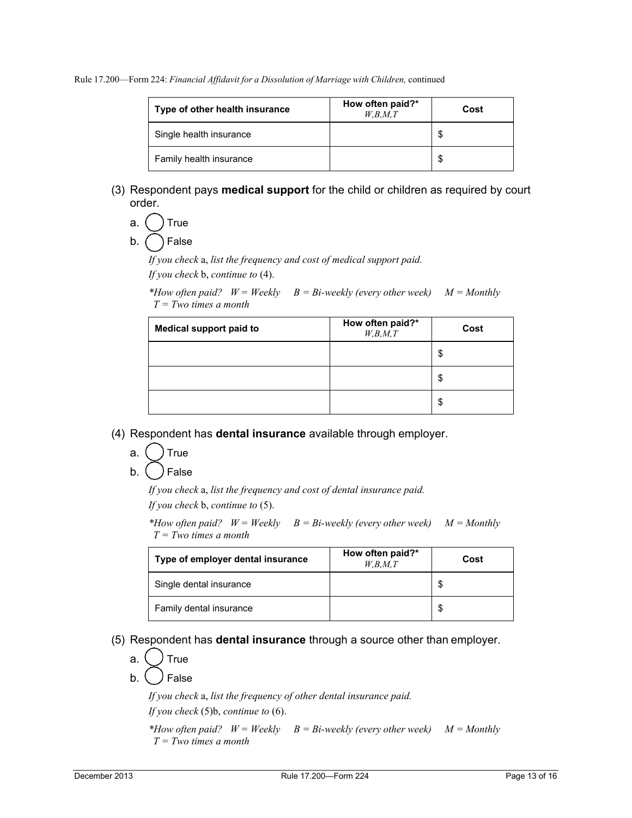| Type of other health insurance | How often paid?*<br>W,B,M,T | Cost |
|--------------------------------|-----------------------------|------|
| Single health insurance        |                             |      |
| Family health insurance        |                             |      |

(3) Respondent pays **medical support** for the child or children as required by court order.

a.  $($   $)$  True

 $b.$   $($   $)$  False

*If you check* a, *list the frequency and cost of medical support paid. If you check* b, *continue to* (4).

*\*How often paid? W = Weekly B = Bi-weekly (every other week) M = Monthly T = Two times a month*

| <b>Medical support paid to</b> | How often paid?*<br>W, B, M, T | Cost |
|--------------------------------|--------------------------------|------|
|                                |                                | \$   |
|                                |                                | \$   |
|                                |                                | \$   |

- (4) Respondent has **dental insurance** available through employer.
	- a. ( ) True
	- b. ( ) False

*If you check* a, *list the frequency and cost of dental insurance paid. If you check* b, *continue to* (5).

*\*How often paid? W = Weekly B = Bi-weekly (every other week) M = Monthly T = Two times a month*

| Type of employer dental insurance | How often paid?*<br>W,B,M,T | Cost |
|-----------------------------------|-----------------------------|------|
| Single dental insurance           |                             |      |
| Family dental insurance           |                             |      |

(5) Respondent has **dental insurance** through a source other than employer.

$$
a. \bigcup \mathsf{True}
$$

b.  $\binom{ }{ }$  False

*If you check* a, *list the frequency of other dental insurance paid. If you check* (5)b, *continue to* (6).

*\*How often paid? W = Weekly B = Bi-weekly (every other week) M = Monthly T = Two times a month*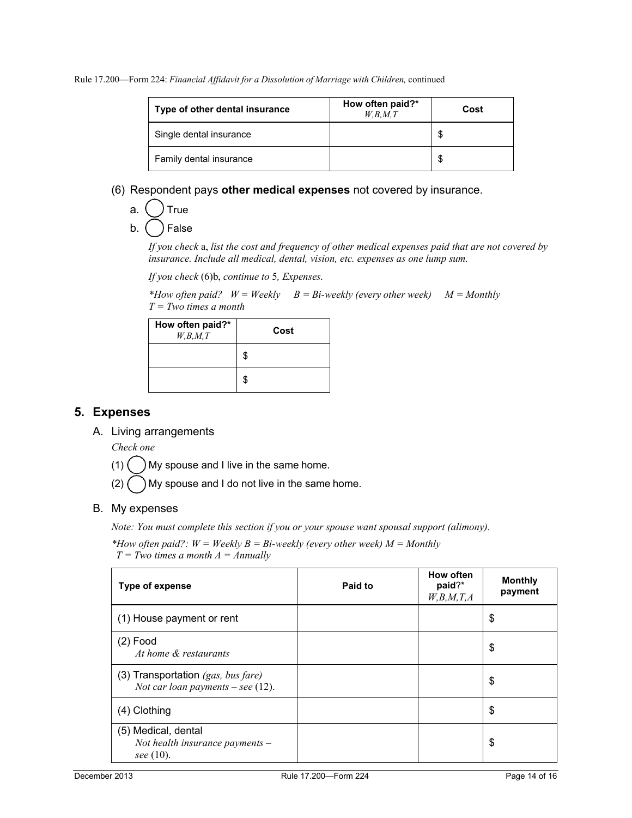| Type of other dental insurance | How often paid?*<br>W,B,M,T | Cost |
|--------------------------------|-----------------------------|------|
| Single dental insurance        |                             |      |
| Family dental insurance        |                             |      |

# (6) Respondent pays **other medical expenses** not covered by insurance.

| I rue<br>a |  |  |
|------------|--|--|
|------------|--|--|

 $b.$   $($   $)$  False

*If you check* a, *list the cost and frequency of other medical expenses paid that are not covered by insurance. Include all medical, dental, vision, etc. expenses as one lump sum.*

*If you check* (6)b, *continue to* 5*, Expenses.*

*\*How often paid? W = Weekly B = Bi-weekly (every other week) M = Monthly T = Two times a month*

| How often paid?*<br>W,B,M,T | Cost |  |  |
|-----------------------------|------|--|--|
|                             | \$   |  |  |
|                             | \$   |  |  |

# **5. Expenses**

A. Living arrangements

*Check one*

 $(1)$   $\binom{1}{1}$  My spouse and I live in the same home.

 $(2)$  My spouse and I do not live in the same home.

# B. My expenses

*Note: You must complete this section if you or your spouse want spousal support (alimony).*

*\*How often paid?: W = Weekly B = Bi-weekly (every other week) M = Monthly T = Two times a month A = Annually*

| Type of expense                                                                | Paid to | How often<br>paid?*<br>W,B,M,T,A | <b>Monthly</b><br>payment |
|--------------------------------------------------------------------------------|---------|----------------------------------|---------------------------|
| (1) House payment or rent                                                      |         |                                  | \$                        |
| $(2)$ Food<br>At home & restaurants                                            |         |                                  | \$                        |
| (3) Transportation $(gas, bus \, fare)$<br>Not car loan payments $-$ see (12). |         |                                  | \$                        |
| (4) Clothing                                                                   |         |                                  | \$                        |
| (5) Medical, dental<br>Not health insurance payments $-$<br>see (10).          |         |                                  | \$                        |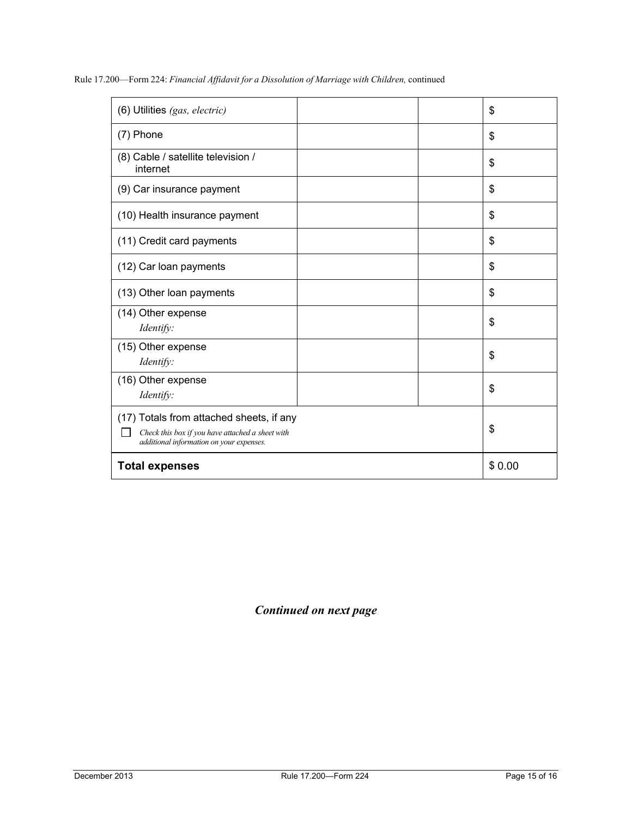|  | Rule 17.200—Form 224: Financial Affidavit for a Dissolution of Marriage with Children, continued |
|--|--------------------------------------------------------------------------------------------------|
|--|--------------------------------------------------------------------------------------------------|

| (6) Utilities (gas, electric)                                                                                                            | \$     |
|------------------------------------------------------------------------------------------------------------------------------------------|--------|
| (7) Phone                                                                                                                                | \$     |
| (8) Cable / satellite television /<br>internet                                                                                           | \$     |
| (9) Car insurance payment                                                                                                                | \$     |
| (10) Health insurance payment                                                                                                            | \$     |
| (11) Credit card payments                                                                                                                | \$     |
| (12) Car loan payments                                                                                                                   | \$     |
| (13) Other loan payments                                                                                                                 | \$     |
| (14) Other expense<br>Identify:                                                                                                          | \$     |
| (15) Other expense<br>Identify:                                                                                                          | \$     |
| (16) Other expense<br>Identify:                                                                                                          | \$     |
| (17) Totals from attached sheets, if any<br>Check this box if you have attached a sheet with<br>additional information on your expenses. | \$     |
| <b>Total expenses</b>                                                                                                                    | \$0.00 |

# *Continued on next page*